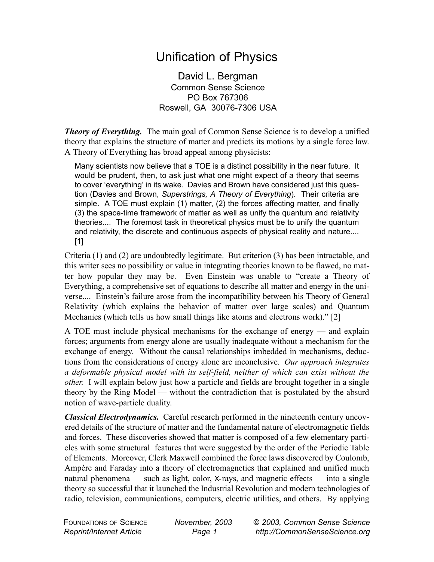## Unification of Physics

David L. Bergman Common Sense Science PO Box 767306 Roswell, GA 30076-7306 USA

*Theory of Everything.* The main goal of Common Sense Science is to develop a unified theory that explains the structure of matter and predicts its motions by a single force law. A Theory of Everything has broad appeal among physicists:

Many scientists now believe that a TOE is a distinct possibility in the near future. It would be prudent, then, to ask just what one might expect of a theory that seems to cover 'everything' in its wake. Davies and Brown have considered just this question (Davies and Brown, *Superstrings, A Theory of Everything*). Their criteria are simple. A TOE must explain (1) matter, (2) the forces affecting matter, and finally (3) the space-time framework of matter as well as unify the quantum and relativity theories.... The foremost task in theoretical physics must be to unify the quantum and relativity, the discrete and continuous aspects of physical reality and nature.... [1]

Criteria (1) and (2) are undoubtedly legitimate. But criterion (3) has been intractable, and this writer sees no possibility or value in integrating theories known to be flawed, no matter how popular they may be. Even Einstein was unable to "create a Theory of Everything, a comprehensive set of equations to describe all matter and energy in the universe.... Einstein's failure arose from the incompatibility between his Theory of General Relativity (which explains the behavior of matter over large scales) and Quantum Mechanics (which tells us how small things like atoms and electrons work)." [2]

A TOE must include physical mechanisms for the exchange of energy — and explain forces; arguments from energy alone are usually inadequate without a mechanism for the exchange of energy. Without the causal relationships imbedded in mechanisms, deductions from the considerations of energy alone are inconclusive. *Our approach integrates a deformable physical model with its self-field, neither of which can exist without the other.* I will explain below just how a particle and fields are brought together in a single theory by the Ring Model — without the contradiction that is postulated by the absurd notion of wave-particle duality.

*Classical Electrodynamics.* Careful research performed in the nineteenth century uncovered details of the structure of matter and the fundamental nature of electromagnetic fields and forces. These discoveries showed that matter is composed of a few elementary particles with some structural features that were suggested by the order of the Periodic Table of Elements. Moreover, Clerk Maxwell combined the force laws discovered by Coulomb, Ampère and Faraday into a theory of electromagnetics that explained and unified much natural phenomena — such as light, color,  $X$ -rays, and magnetic effects — into a single theory so successful that it launched the Industrial Revolution and modern technologies of radio, television, communications, computers, electric utilities, and others. By applying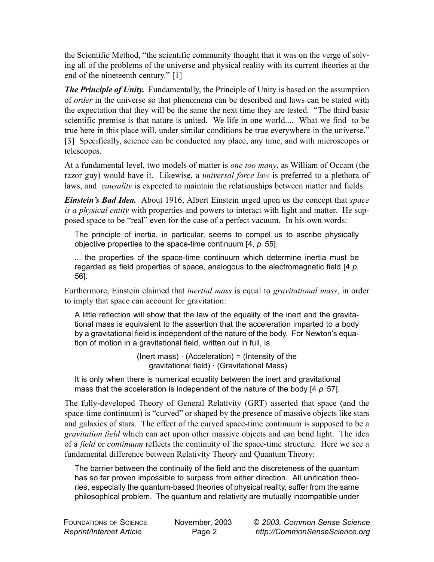the Scientific Method, "the scientific community thought that it was on the verge of solving all of the problems of the universe and physical reality with its current theories at the end of the nineteenth century." [1]

*The Principle of Unity.* Fundamentally, the Principle of Unity is based on the assumption of *order* in the universe so that phenomena can be described and laws can be stated with the expectation that they will be the same the next time they are tested. "The third basic scientific premise is that nature is united. We life in one world.... What we find to be true here in this place will, under similar conditions be true everywhere in the universe." [3] Specifically, science can be conducted any place, any time, and with microscopes or telescopes.

At a fundamental level, two models of matter is *one too many*, as William of Occam (the razor guy) would have it. Likewise, a *universal force law* is preferred to a plethora of laws, and *causality* is expected to maintain the relationships between matter and fields.

*Einstein's Bad Idea.* About 1916, Albert Einstein urged upon us the concept that *space is a physical entity* with properties and powers to interact with light and matter. He supposed space to be "real" even for the case of a perfect vacuum. In his own words:

The principle of inertia, in particular, seems to compel us to ascribe physically objective properties to the space-time continuum [4, *p.* 55].

... the properties of the space-time continuum which determine inertia must be regarded as field properties of space, analogous to the electromagnetic field [4 *p.* 56].

Furthermore, Einstein claimed that *inertial mass* is equal to *gravitational mass*, in order to imply that space can account for gravitation:

A little reflection will show that the law of the equality of the inert and the gravitational mass is equivalent to the assertion that the acceleration imparted to a body by a gravitational field is independent of the nature of the body. For Newton's equation of motion in a gravitational field, written out in full, is

> $($ lnert mass $) \cdot ($ Acceleration $) =$  (Intensity of the gravitational field) · (Gravitational Mass)

It is only when there is numerical equality between the inert and gravitational mass that the acceleration is independent of the nature of the body [4 *p.* 57].

The fully-developed Theory of General Relativity (GRT) asserted that space (and the space-time continuum) is "curved" or shaped by the presence of massive objects like stars and galaxies of stars. The effect of the curved space-time continuum is supposed to be a *gravitation field* which can act upon other massive objects and can bend light. The idea of a *field* or *continuum* reflects the continuity of the space-time structure. Here we see a fundamental difference between Relativity Theory and Quantum Theory:

The barrier between the continuity of the field and the discreteness of the quantum has so far proven impossible to surpass from either direction. All unification theories, especially the quantum-based theories of physical reality, suffer from the same philosophical problem. The quantum and relativity are mutually incompatible under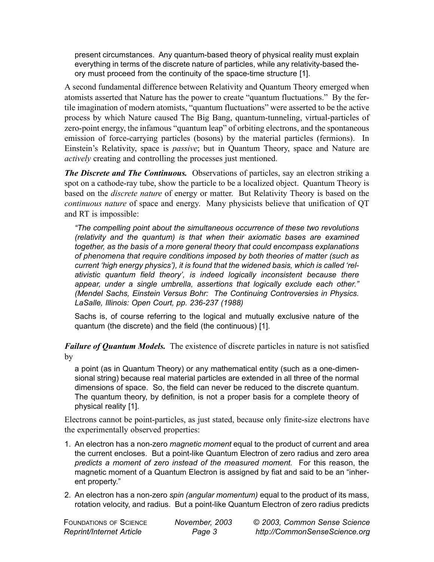present circumstances. Any quantum-based theory of physical reality must explain everything in terms of the discrete nature of particles, while any relativity-based theory must proceed from the continuity of the space-time structure [1].

A second fundamental difference between Relativity and Quantum Theory emerged when atomists asserted that Nature has the power to create "quantum fluctuations." By the fertile imagination of modern atomists, "quantum fluctuations" were asserted to be the active process by which Nature caused The Big Bang, quantum-tunneling, virtual-particles of zero-point energy, the infamous "quantum leap" of orbiting electrons, and the spontaneous emission of force-carrying particles (bosons) by the material particles (fermions). In Einstein's Relativity, space is *passive*; but in Quantum Theory, space and Nature are *actively* creating and controlling the processes just mentioned.

*The Discrete and The Continuous.* Observations of particles, say an electron striking a spot on a cathode-ray tube, show the particle to be a localized object. Quantum Theory is based on the *discrete nature* of energy or matter. But Relativity Theory is based on the *continuous nature* of space and energy. Many physicists believe that unification of QT and RT is impossible:

*"The compelling point about the simultaneous occurrence of these two revolutions (relativity and the quantum) is that when their axiomatic bases are examined together, as the basis of a more general theory that could encompass explanations of phenomena that require conditions imposed by both theories of matter (such as current 'high energy physics'), it is found that the widened basis, which is called 'relativistic quantum field theory', is indeed logically inconsistent because there appear, under a single umbrella, assertions that logically exclude each other." (Mendel Sachs, Einstein Versus Bohr: The Continuing Controversies in Physics. LaSalle, Illinois: Open Court, pp. 236-237 (1988)*

Sachs is, of course referring to the logical and mutually exclusive nature of the quantum (the discrete) and the field (the continuous) [1].

*Failure of Quantum Models.* The existence of discrete particles in nature is not satisfied by

a point (as in Quantum Theory) or any mathematical entity (such as a one-dimensional string) because real material particles are extended in all three of the normal dimensions of space. So, the field can never be reduced to the discrete quantum. The quantum theory, by definition, is not a proper basis for a complete theory of physical reality [1].

Electrons cannot be point-particles, as just stated, because only finite-size electrons have the experimentally observed properties:

- 1. An electron has a non-zero *magnetic moment* equal to the product of current and area the current encloses. But a point-like Quantum Electron of zero radius and zero area *predicts a moment of zero instead of the measured moment.* For this reason, the magnetic moment of a Quantum Electron is assigned by fiat and said to be an "inherent property."
- 2. An electron has a non-zero *spin (angular momentum)* equal to the product of its mass, rotation velocity, and radius. But a point-like Quantum Electron of zero radius predicts

FOUNDATIONS OF SCIENCE *Reprint/Internet Article*

*November, 2003 Page 3*

© *2003, Common Sense Science http://CommonSenseScience.org*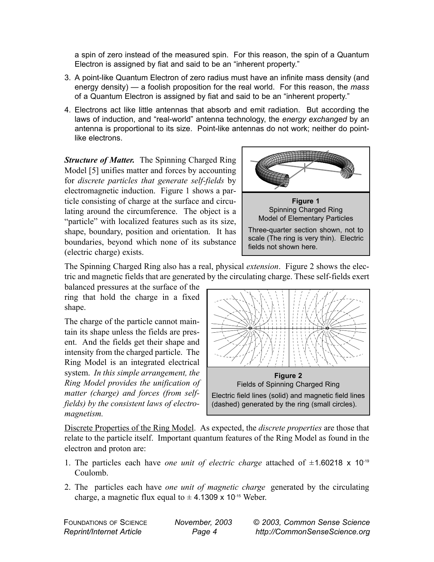a spin of zero instead of the measured spin. For this reason, the spin of a Quantum Electron is assigned by fiat and said to be an "inherent property."

- 3. A point-like Quantum Electron of zero radius must have an infinite mass density (and energy density) — a foolish proposition for the real world. For this reason, the *mass* of a Quantum Electron is assigned by fiat and said to be an "inherent property."
- 4. Electrons act like little antennas that absorb and emit radiation. But according the laws of induction, and "real-world" antenna technology, the *energy exchanged* by an antenna is proportional to its size. Point-like antennas do not work; neither do pointlike electrons.

*Structure of Matter.* The Spinning Charged Ring Model [5] unifies matter and forces by accounting for *discrete particles that generate self-fields* by electromagnetic induction. Figure 1 shows a particle consisting of charge at the surface and circulating around the circumference. The object is a "particle" with localized features such as its size, shape, boundary, position and orientation. It has boundaries, beyond which none of its substance (electric charge) exists.



The Spinning Charged Ring also has a real, physical *extension*. Figure 2 shows the electric and magnetic fields that are generated by the circulating charge. These self-fields exert

balanced pressures at the surface of the ring that hold the charge in a fixed shape.

The charge of the particle cannot maintain its shape unless the fields are present. And the fields get their shape and intensity from the charged particle. The Ring Model is an integrated electrical system. *In this simple arrangement, the Ring Model provides the unification of matter (charge) and forces (from selffields) by the consistent laws of electromagnetism.*



Discrete Properties of the Ring Model. As expected, the *discrete properties* are those that relate to the particle itself. Important quantum features of the Ring Model as found in the electron and proton are:

- 1. The particles each have *one unit of electric charge* attached of  $\pm$ 1.60218 x 10<sup>-19</sup> Coulomb.
- 2. The particles each have *one unit of magnetic charge* generated by the circulating charge, a magnetic flux equal to  $\pm$  4.1309 x 10<sup>-15</sup> Weber.

FOUNDATIONS OF SCIENCE *Reprint/Internet Article*

*November, 2003 Page 4*

© *2003, Common Sense Science http://CommonSenseScience.org*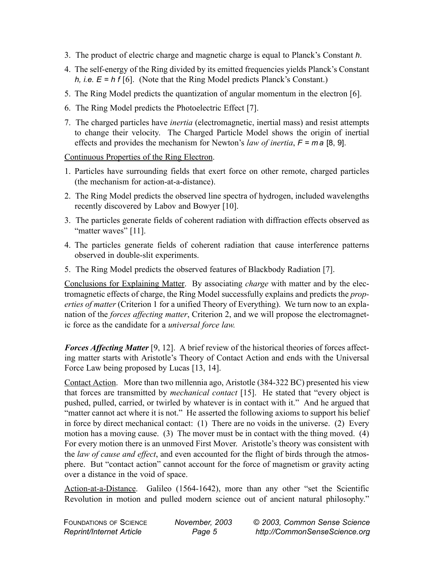- 3. The product of electric charge and magnetic charge is equal to Planck's Constant *h*.
- 4. The self-energy of the Ring divided by its emitted frequencies yields Planck's Constant *h, i.e. E = h f* [6]. (Note that the Ring Model predicts Planck's Constant.)
- 5. The Ring Model predicts the quantization of angular momentum in the electron [6].
- 6. The Ring Model predicts the Photoelectric Effect [7].
- 7. The charged particles have *inertia* (electromagnetic, inertial mass) and resist attempts to change their velocity. The Charged Particle Model shows the origin of inertial effects and provides the mechanism for Newton's *law of inertia*, *F = m a* [8, 9].

Continuous Properties of the Ring Electron.

- 1. Particles have surrounding fields that exert force on other remote, charged particles (the mechanism for action-at-a-distance).
- 2. The Ring Model predicts the observed line spectra of hydrogen, included wavelengths recently discovered by Labov and Bowyer [10].
- 3. The particles generate fields of coherent radiation with diffraction effects observed as "matter waves" [11].
- 4. The particles generate fields of coherent radiation that cause interference patterns observed in double-slit experiments.
- 5. The Ring Model predicts the observed features of Blackbody Radiation [7].

Conclusions for Explaining Matter. By associating *charge* with matter and by the electromagnetic effects of charge, the Ring Model successfully explains and predicts the *properties of matter* (Criterion 1 for a unified Theory of Everything). We turn now to an explanation of the *forces affecting matter*, Criterion 2, and we will propose the electromagnetic force as the candidate for a *universal force law.*

*Forces Affecting Matter* [9, 12]. A brief review of the historical theories of forces affecting matter starts with Aristotle's Theory of Contact Action and ends with the Universal Force Law being proposed by Lucas [13, 14].

Contact Action. More than two millennia ago, Aristotle (384-322 BC) presented his view that forces are transmitted by *mechanical contact* [15]. He stated that "every object is pushed, pulled, carried, or twirled by whatever is in contact with it." And he argued that "matter cannot act where it is not." He asserted the following axioms to support his belief in force by direct mechanical contact: (1) There are no voids in the universe. (2) Every motion has a moving cause. (3) The mover must be in contact with the thing moved. (4) For every motion there is an unmoved First Mover. Aristotle's theory was consistent with the *law of cause and effect*, and even accounted for the flight of birds through the atmosphere. But "contact action" cannot account for the force of magnetism or gravity acting over a distance in the void of space.

Action-at-a-Distance. Galileo (1564-1642), more than any other "set the Scientific Revolution in motion and pulled modern science out of ancient natural philosophy."

| <b>FOUNDATIONS OF SCIENCE</b>   | November, 2003 | © 2003, Common Sense Science  |
|---------------------------------|----------------|-------------------------------|
| <b>Reprint/Internet Article</b> | Page 5         | http://CommonSenseScience.org |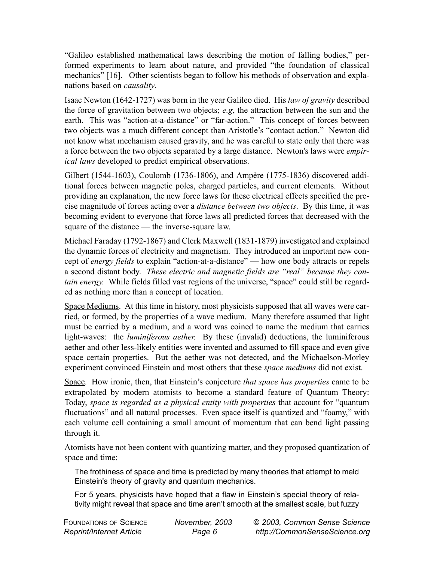"Galileo established mathematical laws describing the motion of falling bodies," performed experiments to learn about nature, and provided "the foundation of classical mechanics" [16]. Other scientists began to follow his methods of observation and explanations based on *causality*.

Isaac Newton (1642-1727) was born in the year Galileo died. His *law of gravity* described the force of gravitation between two objects; *e.g*, the attraction between the sun and the earth. This was "action-at-a-distance" or "far-action." This concept of forces between two objects was a much different concept than Aristotle's "contact action." Newton did not know what mechanism caused gravity, and he was careful to state only that there was a force between the two objects separated by a large distance. Newton's laws were *empirical laws* developed to predict empirical observations.

Gilbert (1544-1603), Coulomb (1736-1806), and Ampère (1775-1836) discovered additional forces between magnetic poles, charged particles, and current elements. Without providing an explanation, the new force laws for these electrical effects specified the precise magnitude of forces acting over a *distance between two objects*. By this time, it was becoming evident to everyone that force laws all predicted forces that decreased with the square of the distance — the inverse-square law.

Michael Faraday (1792-1867) and Clerk Maxwell (1831-1879) investigated and explained the dynamic forces of electricity and magnetism. They introduced an important new concept of *energy fields* to explain "action-at-a-distance" — how one body attracts or repels a second distant body. *These electric and magnetic fields are "real" because they contain energy.* While fields filled vast regions of the universe, "space" could still be regarded as nothing more than a concept of location.

Space Mediums. At this time in history, most physicists supposed that all waves were carried, or formed, by the properties of a wave medium. Many therefore assumed that light must be carried by a medium, and a word was coined to name the medium that carries light-waves: the *luminiferous aether.* By these (invalid) deductions, the luminiferous aether and other less-likely entities were invented and assumed to fill space and even give space certain properties. But the aether was not detected, and the Michaelson-Morley experiment convinced Einstein and most others that these *space mediums* did not exist.

Space. How ironic, then, that Einstein's conjecture *that space has properties* came to be extrapolated by modern atomists to become a standard feature of Quantum Theory: Today, *space is regarded as a physical entity with properties* that account for "quantum fluctuations" and all natural processes. Even space itself is quantized and "foamy," with each volume cell containing a small amount of momentum that can bend light passing through it.

Atomists have not been content with quantizing matter, and they proposed quantization of space and time:

The frothiness of space and time is predicted by many theories that attempt to meld Einstein's theory of gravity and quantum mechanics.

For 5 years, physicists have hoped that a flaw in Einstein's special theory of relativity might reveal that space and time aren't smooth at the smallest scale, but fuzzy

| <b>FOUNDATIONS OF SCIENCE</b> | November, 2003 | © 2003, Common Sense Science  |
|-------------------------------|----------------|-------------------------------|
| Reprint/Internet Article      | Page 6         | http://CommonSenseScience.org |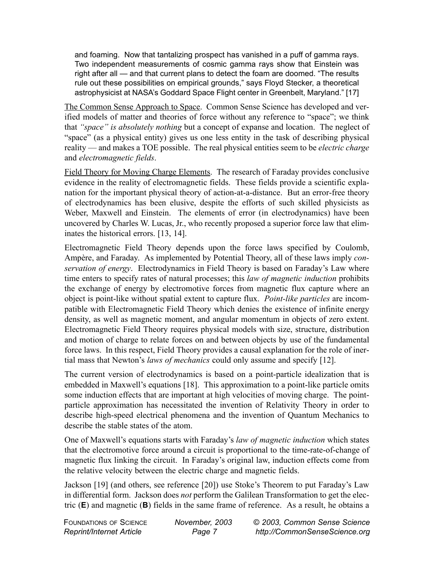and foaming. Now that tantalizing prospect has vanished in a puff of gamma rays. Two independent measurements of cosmic gamma rays show that Einstein was right after all — and that current plans to detect the foam are doomed. "The results rule out these possibilities on empirical grounds," says Floyd Stecker, a theoretical astrophysicist at NASA's Goddard Space Flight center in Greenbelt, Maryland." [17]

The Common Sense Approach to Space. Common Sense Science has developed and verified models of matter and theories of force without any reference to "space"; we think that *"space" is absolutely nothing* but a concept of expanse and location. The neglect of "space" (as a physical entity) gives us one less entity in the task of describing physical reality — and makes a TOE possible. The real physical entities seem to be *electric charge* and *electromagnetic fields*.

Field Theory for Moving Charge Elements. The research of Faraday provides conclusive evidence in the reality of electromagnetic fields. These fields provide a scientific explanation for the important physical theory of action-at-a-distance. But an error-free theory of electrodynamics has been elusive, despite the efforts of such skilled physicists as Weber, Maxwell and Einstein. The elements of error (in electrodynamics) have been uncovered by Charles W. Lucas, Jr., who recently proposed a superior force law that eliminates the historical errors. [13, 14].

Electromagnetic Field Theory depends upon the force laws specified by Coulomb, Ampère, and Faraday. As implemented by Potential Theory, all of these laws imply *conservation of energy*. Electrodynamics in Field Theory is based on Faraday's Law where time enters to specify rates of natural processes; this *law of magnetic induction* prohibits the exchange of energy by electromotive forces from magnetic flux capture where an object is point-like without spatial extent to capture flux. *Point-like particles* are incompatible with Electromagnetic Field Theory which denies the existence of infinite energy density, as well as magnetic moment, and angular momentum in objects of zero extent. Electromagnetic Field Theory requires physical models with size, structure, distribution and motion of charge to relate forces on and between objects by use of the fundamental force laws. In this respect, Field Theory provides a causal explanation for the role of inertial mass that Newton's *laws of mechanics* could only assume and specify [12].

The current version of electrodynamics is based on a point-particle idealization that is embedded in Maxwell's equations [18]. This approximation to a point-like particle omits some induction effects that are important at high velocities of moving charge. The pointparticle approximation has necessitated the invention of Relativity Theory in order to describe high-speed electrical phenomena and the invention of Quantum Mechanics to describe the stable states of the atom.

One of Maxwell's equations starts with Faraday's *law of magnetic induction* which states that the electromotive force around a circuit is proportional to the time-rate-of-change of magnetic flux linking the circuit. In Faraday's original law, induction effects come from the relative velocity between the electric charge and magnetic fields.

Jackson [19] (and others, see reference [20]) use Stoke's Theorem to put Faraday's Law in differential form. Jackson does *not* perform the Galilean Transformation to get the electric (**E**) and magnetic (**B**) fields in the same frame of reference. As a result, he obtains a

| <b>FOUNDATIONS OF SCIENCE</b> | November, 2003 | © 2003, Common Sense Science  |
|-------------------------------|----------------|-------------------------------|
| Reprint/Internet Article      | Page           | http://CommonSenseScience.org |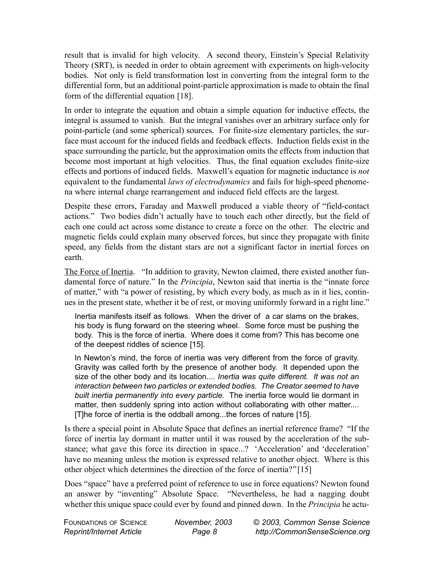result that is invalid for high velocity. A second theory, Einstein's Special Relativity Theory (SRT), is needed in order to obtain agreement with experiments on high-velocity bodies. Not only is field transformation lost in converting from the integral form to the differential form, but an additional point-particle approximation is made to obtain the final form of the differential equation [18].

In order to integrate the equation and obtain a simple equation for inductive effects, the integral is assumed to vanish. But the integral vanishes over an arbitrary surface only for point-particle (and some spherical) sources. For finite-size elementary particles, the surface must account for the induced fields and feedback effects. Induction fields exist in the space surrounding the particle, but the approximation omits the effects from induction that become most important at high velocities. Thus, the final equation excludes finite-size effects and portions of induced fields. Maxwell's equation for magnetic inductance is *not* equivalent to the fundamental *laws of electrodynamics* and fails for high-speed phenomena where internal charge rearrangement and induced field effects are the largest.

Despite these errors, Faraday and Maxwell produced a viable theory of "field-contact actions." Two bodies didn't actually have to touch each other directly, but the field of each one could act across some distance to create a force on the other. The electric and magnetic fields could explain many observed forces, but since they propagate with finite speed, any fields from the distant stars are not a significant factor in inertial forces on earth.

The Force of Inertia. "In addition to gravity, Newton claimed, there existed another fundamental force of nature." In the *Principia*, Newton said that inertia is the "innate force of matter," with "a power of resisting, by which every body, as much as in it lies, continues in the present state, whether it be of rest, or moving uniformly forward in a right line."

Inertia manifests itself as follows. When the driver of a car slams on the brakes, his body is flung forward on the steering wheel. Some force must be pushing the body. This is the force of inertia. Where does it come from? This has become one of the deepest riddles of science [15].

In Newton's mind, the force of inertia was very different from the force of gravity. Gravity was called forth by the presence of another body. It depended upon the size of the other body and its location.... *Inertia was quite different. It was not an interaction between two particles or extended bodies. The Creator seemed to have built inertia permanently into every particle.* The inertia force would lie dormant in matter, then suddenly spring into action without collaborating with other matter.... [T]he force of inertia is the oddball among...the forces of nature [15].

Is there a special point in Absolute Space that defines an inertial reference frame? "If the force of inertia lay dormant in matter until it was roused by the acceleration of the substance; what gave this force its direction in space...? 'Acceleration' and 'deceleration' have no meaning unless the motion is expressed relative to another object. Where is this other object which determines the direction of the force of inertia?"[15]

Does "space" have a preferred point of reference to use in force equations? Newton found an answer by "inventing" Absolute Space. "Nevertheless, he had a nagging doubt whether this unique space could ever by found and pinned down. In the *Principia* he actu-

| FOUNDATIONS OF SCIENCE          | November, 2003 | © 2003, Common Sense Science  |
|---------------------------------|----------------|-------------------------------|
| <b>Reprint/Internet Article</b> | Page 8         | http://CommonSenseScience.org |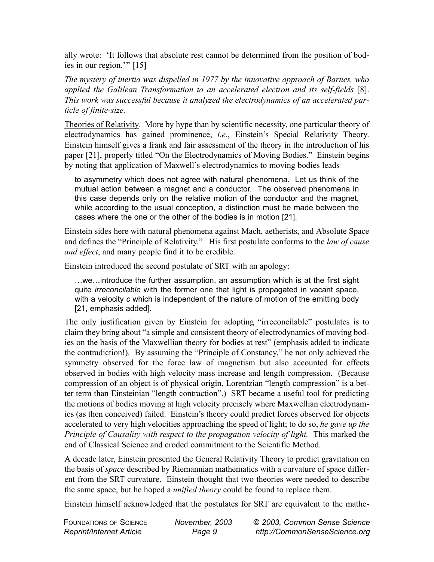ally wrote: 'It follows that absolute rest cannot be determined from the position of bodies in our region.'" [15]

*The mystery of inertia was dispelled in 1977 by the innovative approach of Barnes, who applied the Galilean Transformation to an accelerated electron and its self-fields* [8]. *This work was successful because it analyzed the electrodynamics of an accelerated particle of finite-size.* 

Theories of Relativity. More by hype than by scientific necessity, one particular theory of electrodynamics has gained prominence, *i.e.*, Einstein's Special Relativity Theory. Einstein himself gives a frank and fair assessment of the theory in the introduction of his paper [21], properly titled "On the Electrodynamics of Moving Bodies." Einstein begins by noting that application of Maxwell's electrodynamics to moving bodies leads

to asymmetry which does not agree with natural phenomena. Let us think of the mutual action between a magnet and a conductor. The observed phenomena in this case depends only on the relative motion of the conductor and the magnet, while according to the usual conception, a distinction must be made between the cases where the one or the other of the bodies is in motion [21].

Einstein sides here with natural phenomena against Mach, aetherists, and Absolute Space and defines the "Principle of Relativity." His first postulate conforms to the *law of cause and effect*, and many people find it to be credible.

Einstein introduced the second postulate of SRT with an apology:

…we…introduce the further assumption, an assumption which is at the first sight quite *irreconcilable* with the former one that light is propagated in vacant space, with a velocity *c* which is independent of the nature of motion of the emitting body [21, emphasis added].

The only justification given by Einstein for adopting "irreconcilable" postulates is to claim they bring about "a simple and consistent theory of electrodynamics of moving bodies on the basis of the Maxwellian theory for bodies at rest" (emphasis added to indicate the contradiction!). By assuming the "Principle of Constancy," he not only achieved the symmetry observed for the force law of magnetism but also accounted for effects observed in bodies with high velocity mass increase and length compression. (Because compression of an object is of physical origin, Lorentzian "length compression" is a better term than Einsteinian "length contraction".) SRT became a useful tool for predicting the motions of bodies moving at high velocity precisely where Maxwellian electrodynamics (as then conceived) failed. Einstein's theory could predict forces observed for objects accelerated to very high velocities approaching the speed of light; to do so, *he gave up the Principle of Causality with respect to the propagation velocity of light.* This marked the end of Classical Science and eroded commitment to the Scientific Method.

A decade later, Einstein presented the General Relativity Theory to predict gravitation on the basis of *space* described by Riemannian mathematics with a curvature of space different from the SRT curvature. Einstein thought that two theories were needed to describe the same space, but he hoped a *unified theory* could be found to replace them.

Einstein himself acknowledged that the postulates for SRT are equivalent to the mathe-

| FOUNDATIONS OF SCIENCE   | November, 2003 | © 2003, Common Sense Science  |
|--------------------------|----------------|-------------------------------|
| Reprint/Internet Article | Page 9         | http://CommonSenseScience.org |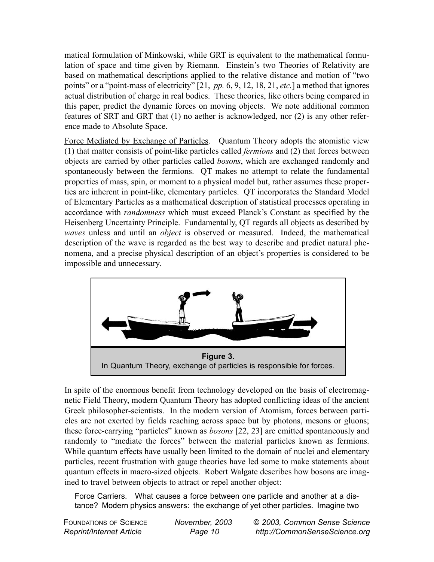matical formulation of Minkowski, while GRT is equivalent to the mathematical formulation of space and time given by Riemann. Einstein's two Theories of Relativity are based on mathematical descriptions applied to the relative distance and motion of "two points" or a "point-mass of electricity" [21, *pp.* 6, 9, 12, 18, 21, *etc.*] a method that ignores actual distribution of charge in real bodies. These theories, like others being compared in this paper, predict the dynamic forces on moving objects. We note additional common features of SRT and GRT that (1) no aether is acknowledged, nor (2) is any other reference made to Absolute Space.

Force Mediated by Exchange of Particles. Quantum Theory adopts the atomistic view (1) that matter consists of point-like particles called *fermions* and (2) that forces between objects are carried by other particles called *bosons*, which are exchanged randomly and spontaneously between the fermions. QT makes no attempt to relate the fundamental properties of mass, spin, or moment to a physical model but, rather assumes these properties are inherent in point-like, elementary particles. QT incorporates the Standard Model of Elementary Particles as a mathematical description of statistical processes operating in accordance with *randomness* which must exceed Planck's Constant as specified by the Heisenberg Uncertainty Principle. Fundamentally, QT regards all objects as described by *waves* unless and until an *object* is observed or measured. Indeed, the mathematical description of the wave is regarded as the best way to describe and predict natural phenomena, and a precise physical description of an object's properties is considered to be impossible and unnecessary.



In spite of the enormous benefit from technology developed on the basis of electromagnetic Field Theory, modern Quantum Theory has adopted conflicting ideas of the ancient Greek philosopher-scientists. In the modern version of Atomism, forces between particles are not exerted by fields reaching across space but by photons, mesons or gluons; these force-carrying "particles" known as *bosons* [22, 23] are emitted spontaneously and randomly to "mediate the forces" between the material particles known as fermions. While quantum effects have usually been limited to the domain of nuclei and elementary particles, recent frustration with gauge theories have led some to make statements about quantum effects in macro-sized objects. Robert Walgate describes how bosons are imagined to travel between objects to attract or repel another object:

Force Carriers. What causes a force between one particle and another at a distance? Modern physics answers: the exchange of yet other particles. Imagine two

| <b>FOUNDATIONS OF SCIENCE</b> | November, 2003 | © 2003, Common Sense Science  |
|-------------------------------|----------------|-------------------------------|
| Reprint/Internet Article      | Page 10        | http://CommonSenseScience.org |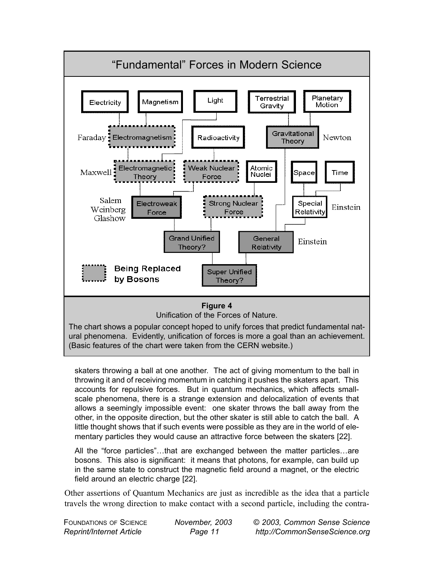

skaters throwing a ball at one another. The act of giving momentum to the ball in throwing it and of receiving momentum in catching it pushes the skaters apart. This accounts for repulsive forces. But in quantum mechanics, which affects smallscale phenomena, there is a strange extension and delocalization of events that allows a seemingly impossible event: one skater throws the ball away from the other, in the opposite direction, but the other skater is still able to catch the ball. A little thought shows that if such events were possible as they are in the world of elementary particles they would cause an attractive force between the skaters [22].

All the "force particles"…that are exchanged between the matter particles…are bosons. This also is significant: it means that photons, for example, can build up in the same state to construct the magnetic field around a magnet, or the electric field around an electric charge [22].

Other assertions of Quantum Mechanics are just as incredible as the idea that a particle travels the wrong direction to make contact with a second particle, including the contra-

| <b>FOUNDATIONS OF SCIENCE</b>   | November, 2003 | © 2003, Common Sense Science  |
|---------------------------------|----------------|-------------------------------|
| <b>Reprint/Internet Article</b> | Page 11        | http://CommonSenseScience.org |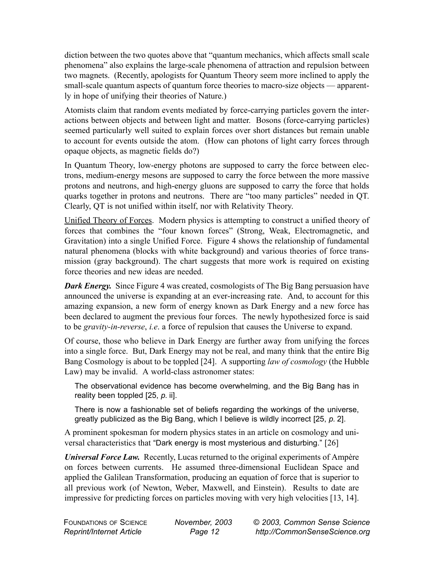diction between the two quotes above that "quantum mechanics, which affects small scale phenomena" also explains the large-scale phenomena of attraction and repulsion between two magnets. (Recently, apologists for Quantum Theory seem more inclined to apply the small-scale quantum aspects of quantum force theories to macro-size objects — apparently in hope of unifying their theories of Nature.)

Atomists claim that random events mediated by force-carrying particles govern the interactions between objects and between light and matter. Bosons (force-carrying particles) seemed particularly well suited to explain forces over short distances but remain unable to account for events outside the atom. (How can photons of light carry forces through opaque objects, as magnetic fields do?)

In Quantum Theory, low-energy photons are supposed to carry the force between electrons, medium-energy mesons are supposed to carry the force between the more massive protons and neutrons, and high-energy gluons are supposed to carry the force that holds quarks together in protons and neutrons. There are "too many particles" needed in QT. Clearly, QT is not unified within itself, nor with Relativity Theory.

Unified Theory of Forces. Modern physics is attempting to construct a unified theory of forces that combines the "four known forces" (Strong, Weak, Electromagnetic, and Gravitation) into a single Unified Force. Figure 4 shows the relationship of fundamental natural phenomena (blocks with white background) and various theories of force transmission (gray background). The chart suggests that more work is required on existing force theories and new ideas are needed.

*Dark Energy.* Since Figure 4 was created, cosmologists of The Big Bang persuasion have announced the universe is expanding at an ever-increasing rate. And, to account for this amazing expansion, a new form of energy known as Dark Energy and a new force has been declared to augment the previous four forces. The newly hypothesized force is said to be *gravity-in-reverse*, *i.e*. a force of repulsion that causes the Universe to expand.

Of course, those who believe in Dark Energy are further away from unifying the forces into a single force. But, Dark Energy may not be real, and many think that the entire Big Bang Cosmology is about to be toppled [24]. A supporting *law of cosmology* (the Hubble Law) may be invalid. A world-class astronomer states:

The observational evidence has become overwhelming, and the Big Bang has in reality been toppled [25, *p.* ii].

There is now a fashionable set of beliefs regarding the workings of the universe, greatly publicized as the Big Bang, which I believe is wildly incorrect [25, *p.* 2].

A prominent spokesman for modern physics states in an article on cosmology and universal characteristics that "Dark energy is most mysterious and disturbing." [26]

*Universal Force Law.* Recently, Lucas returned to the original experiments of Ampère on forces between currents. He assumed three-dimensional Euclidean Space and applied the Galilean Transformation, producing an equation of force that is superior to all previous work (of Newton, Weber, Maxwell, and Einstein). Results to date are impressive for predicting forces on particles moving with very high velocities [13, 14].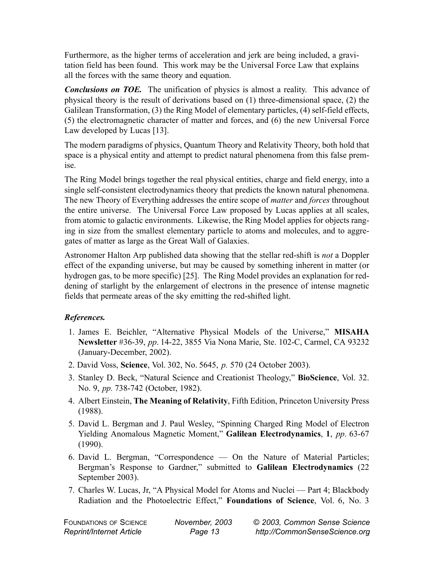Furthermore, as the higher terms of acceleration and jerk are being included, a gravitation field has been found. This work may be the Universal Force Law that explains all the forces with the same theory and equation.

*Conclusions on TOE.* The unification of physics is almost a reality. This advance of physical theory is the result of derivations based on (1) three-dimensional space, (2) the Galilean Transformation, (3) the Ring Model of elementary particles, (4) self-field effects, (5) the electromagnetic character of matter and forces, and (6) the new Universal Force Law developed by Lucas [13].

The modern paradigms of physics, Quantum Theory and Relativity Theory, both hold that space is a physical entity and attempt to predict natural phenomena from this false premise.

The Ring Model brings together the real physical entities, charge and field energy, into a single self-consistent electrodynamics theory that predicts the known natural phenomena. The new Theory of Everything addresses the entire scope of *matter* and *forces* throughout the entire universe. The Universal Force Law proposed by Lucas applies at all scales, from atomic to galactic environments. Likewise, the Ring Model applies for objects ranging in size from the smallest elementary particle to atoms and molecules, and to aggregates of matter as large as the Great Wall of Galaxies.

Astronomer Halton Arp published data showing that the stellar red-shift is *not* a Doppler effect of the expanding universe, but may be caused by something inherent in matter (or hydrogen gas, to be more specific) [25]. The Ring Model provides an explanation for reddening of starlight by the enlargement of electrons in the presence of intense magnetic fields that permeate areas of the sky emitting the red-shifted light.

## *References.*

- 1. James E. Beichler, "Alternative Physical Models of the Universe," **MISAHA Newsletter** #36-39, *pp*. 14-22, 3855 Via Nona Marie, Ste. 102-C, Carmel, CA 93232 (January-December, 2002).
- 2. David Voss, **Science**, Vol. 302, No. 5645, *p.* 570 (24 October 2003).
- 3. Stanley D. Beck, "Natural Science and Creationist Theology," **BioScience**, Vol. 32. No. 9, *pp.* 738-742 (October, 1982).
- 4. Albert Einstein, **The Meaning of Relativity**, Fifth Edition, Princeton University Press (1988).
- 5. David L. Bergman and J. Paul Wesley, "Spinning Charged Ring Model of Electron Yielding Anomalous Magnetic Moment," **Galilean Electrodynamics**, **1**, *pp*. 63-67 (1990).
- 6. David L. Bergman, "Correspondence On the Nature of Material Particles; Bergman's Response to Gardner," submitted to **Galilean Electrodynamics** (22 September 2003).
- 7. Charles W. Lucas, Jr, "A Physical Model for Atoms and Nuclei Part 4; Blackbody Radiation and the Photoelectric Effect," **Foundations of Science**, Vol. 6, No. 3

| <b>FOUNDATIONS OF SCIENCE</b> |  |
|-------------------------------|--|
| Reprint/Internet Article      |  |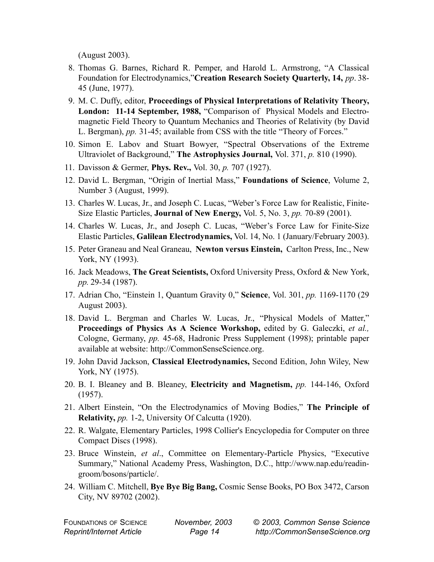(August 2003).

- 8. Thomas G. Barnes, Richard R. Pemper, and Harold L. Armstrong, "A Classical Foundation for Electrodynamics,"**Creation Research Society Quarterly, 14,** *pp*. 38- 45 (June, 1977).
- 9. M. C. Duffy, editor, **Proceedings of Physical Interpretations of Relativity Theory, London: 11-14 September, 1988,** "Comparison of Physical Models and Electromagnetic Field Theory to Quantum Mechanics and Theories of Relativity (by David L. Bergman), *pp.* 31-45; available from CSS with the title "Theory of Forces."
- 10. Simon E. Labov and Stuart Bowyer, "Spectral Observations of the Extreme Ultraviolet of Background," **The Astrophysics Journal,** Vol. 371, *p.* 810 (1990).
- 11. Davisson & Germer, **Phys. Rev.,** Vol. 30, *p.* 707 (1927).
- 12. David L. Bergman, "Origin of Inertial Mass," **Foundations of Science**, Volume 2, Number 3 (August, 1999).
- 13. Charles W. Lucas, Jr., and Joseph C. Lucas, "Weber's Force Law for Realistic, Finite-Size Elastic Particles, **Journal of New Energy,** Vol. 5, No. 3, *pp.* 70-89 (2001).
- 14. Charles W. Lucas, Jr., and Joseph C. Lucas, "Weber's Force Law for Finite-Size Elastic Particles, **Galilean Electrodynamics,** Vol. 14, No. 1 (January/February 2003).
- 15. Peter Graneau and Neal Graneau, **Newton versus Einstein,** Carlton Press, Inc., New York, NY (1993).
- 16. Jack Meadows, **The Great Scientists,** Oxford University Press, Oxford & New York, *pp.* 29-34 (1987).
- 17. Adrian Cho, "Einstein 1, Quantum Gravity 0," **Science**, Vol. 301, *pp.* 1169-1170 (29 August 2003).
- 18. David L. Bergman and Charles W. Lucas, Jr., "Physical Models of Matter," **Proceedings of Physics As A Science Workshop,** edited by G. Galeczki, *et al.,* Cologne, Germany, *pp.* 45-68, Hadronic Press Supplement (1998); printable paper available at website: http://CommonSenseScience.org.
- 19. John David Jackson, **Classical Electrodynamics,** Second Edition, John Wiley, New York, NY (1975).
- 20. B. I. Bleaney and B. Bleaney, **Electricity and Magnetism,** *pp.* 144-146, Oxford (1957).
- 21. Albert Einstein, "On the Electrodynamics of Moving Bodies," **The Principle of Relativity,** *pp.* 1-2, University Of Calcutta (1920).
- 22. R. Walgate, Elementary Particles, 1998 Collier's Encyclopedia for Computer on three Compact Discs (1998).
- 23. Bruce Winstein, *et al*., Committee on Elementary-Particle Physics, "Executive Summary," National Academy Press, Washington, D.C., http://www.nap.edu/readingroom/bosons/particle/.
- 24. William C. Mitchell, **Bye Bye Big Bang,** Cosmic Sense Books, PO Box 3472, Carson City, NV 89702 (2002).